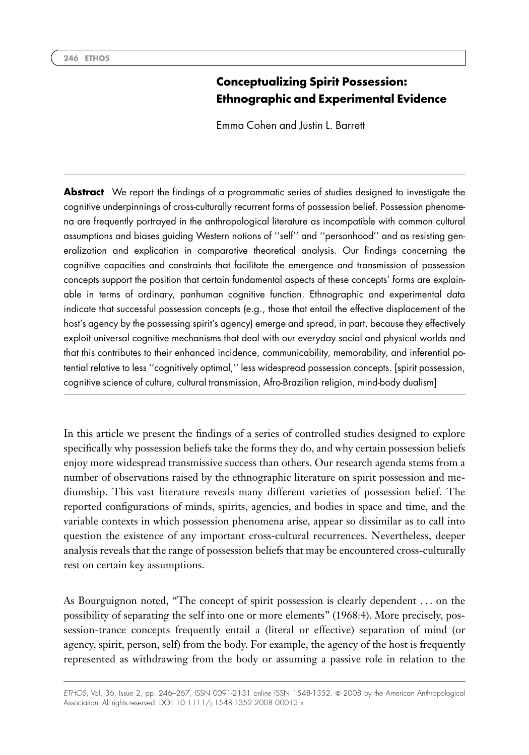# Conceptualizing Spirit Possession: Ethnographic and Experimental Evidence

Emma Cohen and Justin L. Barrett

**Abstract** We report the findings of a programmatic series of studies designed to investigate the cognitive underpinnings of cross-culturally recurrent forms of possession belief. Possession phenomena are frequently portrayed in the anthropological literature as incompatible with common cultural assumptions and biases guiding Western notions of ''self'' and ''personhood'' and as resisting generalization and explication in comparative theoretical analysis. Our findings concerning the cognitive capacities and constraints that facilitate the emergence and transmission of possession concepts support the position that certain fundamental aspects of these concepts' forms are explainable in terms of ordinary, panhuman cognitive function. Ethnographic and experimental data indicate that successful possession concepts (e.g., those that entail the effective displacement of the host's agency by the possessing spirit's agency) emerge and spread, in part, because they effectively exploit universal cognitive mechanisms that deal with our everyday social and physical worlds and that this contributes to their enhanced incidence, communicability, memorability, and inferential potential relative to less ''cognitively optimal,'' less widespread possession concepts. [spirit possession, cognitive science of culture, cultural transmission, Afro-Brazilian religion, mind-body dualism]

In this article we present the findings of a series of controlled studies designed to explore specifically why possession beliefs take the forms they do, and why certain possession beliefs enjoy more widespread transmissive success than others. Our research agenda stems from a number of observations raised by the ethnographic literature on spirit possession and mediumship. This vast literature reveals many different varieties of possession belief. The reported configurations of minds, spirits, agencies, and bodies in space and time, and the variable contexts in which possession phenomena arise, appear so dissimilar as to call into question the existence of any important cross-cultural recurrences. Nevertheless, deeper analysis reveals that the range of possession beliefs that may be encountered cross-culturally rest on certain key assumptions.

As Bourguignon noted, ''The concept of spirit possession is clearly dependent . . . on the possibility of separating the self into one or more elements'' (1968:4). More precisely, possession-trance concepts frequently entail a (literal or effective) separation of mind (or agency, spirit, person, self) from the body. For example, the agency of the host is frequently represented as withdrawing from the body or assuming a passive role in relation to the

ETHOS, Vol. 36, Issue 2, pp. 246–267, ISSN 0091-2131 online ISSN 1548-1352. *&* 2008 by the American Anthropological Association. All rights reserved. DOI: 10.1111/j.1548-1352.2008.00013.x.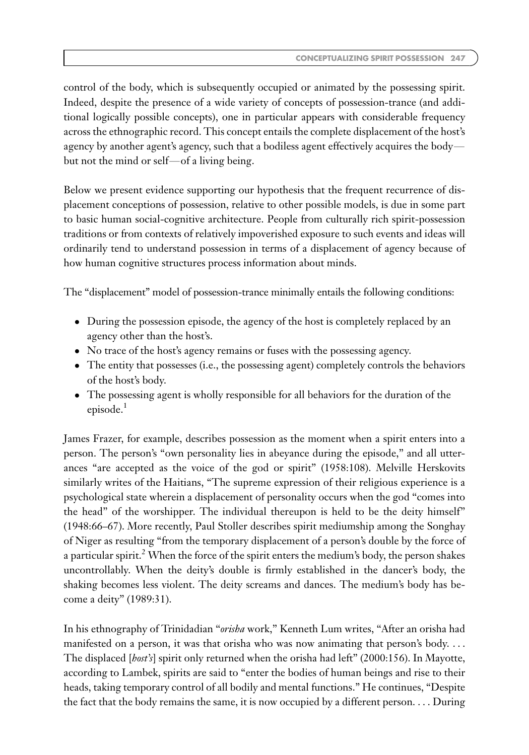control of the body, which is subsequently occupied or animated by the possessing spirit. Indeed, despite the presence of a wide variety of concepts of possession-trance (and additional logically possible concepts), one in particular appears with considerable frequency across the ethnographic record. This concept entails the complete displacement of the host's agency by another agent's agency, such that a bodiless agent effectively acquires the bodybut not the mind or self—of a living being.

Below we present evidence supporting our hypothesis that the frequent recurrence of displacement conceptions of possession, relative to other possible models, is due in some part to basic human social-cognitive architecture. People from culturally rich spirit-possession traditions or from contexts of relatively impoverished exposure to such events and ideas will ordinarily tend to understand possession in terms of a displacement of agency because of how human cognitive structures process information about minds.

The "displacement" model of possession-trance minimally entails the following conditions:

- During the possession episode, the agency of the host is completely replaced by an agency other than the host's.
- No trace of the host's agency remains or fuses with the possessing agency.
- The entity that possesses (i.e., the possessing agent) completely controls the behaviors of the host's body.
- The possessing agent is wholly responsible for all behaviors for the duration of the episode.<sup>1</sup>

James Frazer, for example, describes possession as the moment when a spirit enters into a person. The person's ''own personality lies in abeyance during the episode,'' and all utterances "are accepted as the voice of the god or spirit" (1958:108). Melville Herskovits similarly writes of the Haitians, "The supreme expression of their religious experience is a psychological state wherein a displacement of personality occurs when the god ''comes into the head'' of the worshipper. The individual thereupon is held to be the deity himself'' (1948:66–67). More recently, Paul Stoller describes spirit mediumship among the Songhay of Niger as resulting ''from the temporary displacement of a person's double by the force of a particular spirit.<sup>2</sup> When the force of the spirit enters the medium's body, the person shakes uncontrollably. When the deity's double is firmly established in the dancer's body, the shaking becomes less violent. The deity screams and dances. The medium's body has become a deity'' (1989:31).

In his ethnography of Trinidadian "orisha work," Kenneth Lum writes, "After an orisha had manifested on a person, it was that orisha who was now animating that person's body. . . . The displaced [host's] spirit only returned when the orisha had left'' (2000:156). In Mayotte, according to Lambek, spirits are said to ''enter the bodies of human beings and rise to their heads, taking temporary control of all bodily and mental functions.'' He continues, ''Despite the fact that the body remains the same, it is now occupied by a different person. . . . During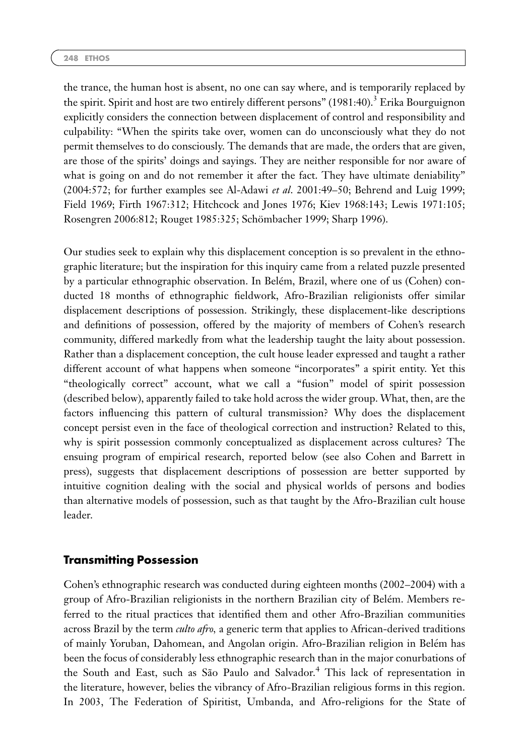the trance, the human host is absent, no one can say where, and is temporarily replaced by the spirit. Spirit and host are two entirely different persons"  $(1981:40)$ .<sup>3</sup> Erika Bourguignon explicitly considers the connection between displacement of control and responsibility and culpability: ''When the spirits take over, women can do unconsciously what they do not permit themselves to do consciously. The demands that are made, the orders that are given, are those of the spirits' doings and sayings. They are neither responsible for nor aware of what is going on and do not remember it after the fact. They have ultimate deniability"  $(2004:572;$  for further examples see Al-Adawi et al. 2001:49–50; Behrend and Luig 1999; Field 1969; Firth 1967:312; Hitchcock and Jones 1976; Kiev 1968:143; Lewis 1971:105; Rosengren 2006:812; Rouget 1985:325; Schömbacher 1999; Sharp 1996).

Our studies seek to explain why this displacement conception is so prevalent in the ethnographic literature; but the inspiration for this inquiry came from a related puzzle presented by a particular ethnographic observation. In Belém, Brazil, where one of us (Cohen) conducted 18 months of ethnographic fieldwork, Afro-Brazilian religionists offer similar displacement descriptions of possession. Strikingly, these displacement-like descriptions and definitions of possession, offered by the majority of members of Cohen's research community, differed markedly from what the leadership taught the laity about possession. Rather than a displacement conception, the cult house leader expressed and taught a rather different account of what happens when someone ''incorporates'' a spirit entity. Yet this ''theologically correct'' account, what we call a ''fusion'' model of spirit possession (described below), apparently failed to take hold across the wider group. What, then, are the factors influencing this pattern of cultural transmission? Why does the displacement concept persist even in the face of theological correction and instruction? Related to this, why is spirit possession commonly conceptualized as displacement across cultures? The ensuing program of empirical research, reported below (see also Cohen and Barrett in press), suggests that displacement descriptions of possession are better supported by intuitive cognition dealing with the social and physical worlds of persons and bodies than alternative models of possession, such as that taught by the Afro-Brazilian cult house leader.

### Transmitting Possession

Cohen's ethnographic research was conducted during eighteen months (2002–2004) with a group of Afro-Brazilian religionists in the northern Brazilian city of Belém. Members referred to the ritual practices that identified them and other Afro-Brazilian communities across Brazil by the term *culto afro*, a generic term that applies to African-derived traditions of mainly Yoruban, Dahomean, and Angolan origin. Afro-Brazilian religion in Belém has been the focus of considerably less ethnographic research than in the major conurbations of the South and East, such as São Paulo and Salvador.<sup>4</sup> This lack of representation in the literature, however, belies the vibrancy of Afro-Brazilian religious forms in this region. In 2003, The Federation of Spiritist, Umbanda, and Afro-religions for the State of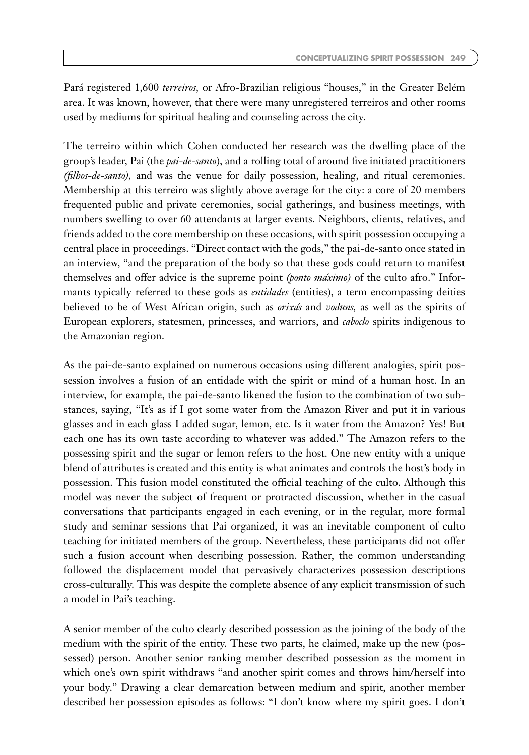Pará registered 1,600 terreiros, or Afro-Brazilian religious "houses," in the Greater Belém area. It was known, however, that there were many unregistered terreiros and other rooms used by mediums for spiritual healing and counseling across the city.

The terreiro within which Cohen conducted her research was the dwelling place of the group's leader, Pai (the pai-de-santo), and a rolling total of around five initiated practitioners (filhos-de-santo), and was the venue for daily possession, healing, and ritual ceremonies. Membership at this terreiro was slightly above average for the city: a core of 20 members frequented public and private ceremonies, social gatherings, and business meetings, with numbers swelling to over 60 attendants at larger events. Neighbors, clients, relatives, and friends added to the core membership on these occasions, with spirit possession occupying a central place in proceedings. ''Direct contact with the gods,'' the pai-de-santo once stated in an interview, "and the preparation of the body so that these gods could return to manifest themselves and offer advice is the supreme point *(ponto máximo)* of the culto afro." Informants typically referred to these gods as *entidades* (entities), a term encompassing deities believed to be of West African origin, such as *orixa's* and *voduns*, as well as the spirits of European explorers, statesmen, princesses, and warriors, and *caboclo* spirits indigenous to the Amazonian region.

As the pai-de-santo explained on numerous occasions using different analogies, spirit possession involves a fusion of an entidade with the spirit or mind of a human host. In an interview, for example, the pai-de-santo likened the fusion to the combination of two substances, saying, ''It's as if I got some water from the Amazon River and put it in various glasses and in each glass I added sugar, lemon, etc. Is it water from the Amazon? Yes! But each one has its own taste according to whatever was added.'' The Amazon refers to the possessing spirit and the sugar or lemon refers to the host. One new entity with a unique blend of attributes is created and this entity is what animates and controls the host's body in possession. This fusion model constituted the official teaching of the culto. Although this model was never the subject of frequent or protracted discussion, whether in the casual conversations that participants engaged in each evening, or in the regular, more formal study and seminar sessions that Pai organized, it was an inevitable component of culto teaching for initiated members of the group. Nevertheless, these participants did not offer such a fusion account when describing possession. Rather, the common understanding followed the displacement model that pervasively characterizes possession descriptions cross-culturally. This was despite the complete absence of any explicit transmission of such a model in Pai's teaching.

A senior member of the culto clearly described possession as the joining of the body of the medium with the spirit of the entity. These two parts, he claimed, make up the new (possessed) person. Another senior ranking member described possession as the moment in which one's own spirit withdraws ''and another spirit comes and throws him/herself into your body.'' Drawing a clear demarcation between medium and spirit, another member described her possession episodes as follows: ''I don't know where my spirit goes. I don't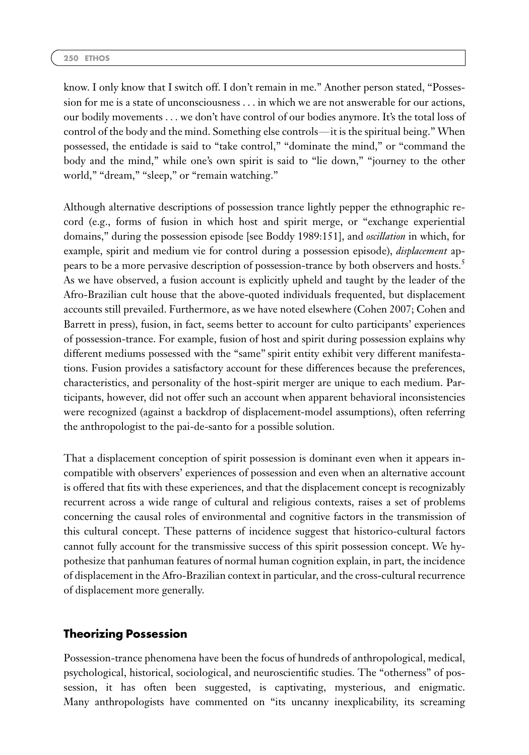know. I only know that I switch off. I don't remain in me." Another person stated, "Possession for me is a state of unconsciousness . . . in which we are not answerable for our actions, our bodily movements . . . we don't have control of our bodies anymore. It's the total loss of control of the body and the mind. Something else controls—it is the spiritual being." When possessed, the entidade is said to ''take control,'' ''dominate the mind,'' or ''command the body and the mind," while one's own spirit is said to "lie down," "journey to the other world," "dream," "sleep," or "remain watching."

Although alternative descriptions of possession trance lightly pepper the ethnographic record (e.g., forms of fusion in which host and spirit merge, or ''exchange experiential domains," during the possession episode [see Boddy 1989:151], and *oscillation* in which, for example, spirit and medium vie for control during a possession episode), *displacement* appears to be a more pervasive description of possession-trance by both observers and hosts.<sup>5</sup> As we have observed, a fusion account is explicitly upheld and taught by the leader of the Afro-Brazilian cult house that the above-quoted individuals frequented, but displacement accounts still prevailed. Furthermore, as we have noted elsewhere (Cohen 2007; Cohen and Barrett in press), fusion, in fact, seems better to account for culto participants' experiences of possession-trance. For example, fusion of host and spirit during possession explains why different mediums possessed with the ''same'' spirit entity exhibit very different manifestations. Fusion provides a satisfactory account for these differences because the preferences, characteristics, and personality of the host-spirit merger are unique to each medium. Participants, however, did not offer such an account when apparent behavioral inconsistencies were recognized (against a backdrop of displacement-model assumptions), often referring the anthropologist to the pai-de-santo for a possible solution.

That a displacement conception of spirit possession is dominant even when it appears incompatible with observers' experiences of possession and even when an alternative account is offered that fits with these experiences, and that the displacement concept is recognizably recurrent across a wide range of cultural and religious contexts, raises a set of problems concerning the causal roles of environmental and cognitive factors in the transmission of this cultural concept. These patterns of incidence suggest that historico-cultural factors cannot fully account for the transmissive success of this spirit possession concept. We hypothesize that panhuman features of normal human cognition explain, in part, the incidence of displacement in the Afro-Brazilian context in particular, and the cross-cultural recurrence of displacement more generally.

# Theorizing Possession

Possession-trance phenomena have been the focus of hundreds of anthropological, medical, psychological, historical, sociological, and neuroscientific studies. The ''otherness'' of possession, it has often been suggested, is captivating, mysterious, and enigmatic. Many anthropologists have commented on ''its uncanny inexplicability, its screaming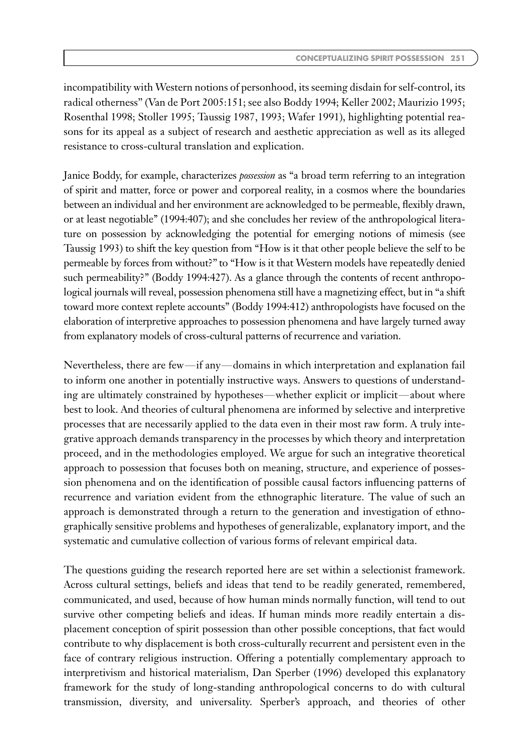incompatibility with Western notions of personhood, its seeming disdain for self-control, its radical otherness'' (Van de Port 2005:151; see also Boddy 1994; Keller 2002; Maurizio 1995; Rosenthal 1998; Stoller 1995; Taussig 1987, 1993; Wafer 1991), highlighting potential reasons for its appeal as a subject of research and aesthetic appreciation as well as its alleged resistance to cross-cultural translation and explication.

Janice Boddy, for example, characterizes possession as "a broad term referring to an integration of spirit and matter, force or power and corporeal reality, in a cosmos where the boundaries between an individual and her environment are acknowledged to be permeable, flexibly drawn, or at least negotiable'' (1994:407); and she concludes her review of the anthropological literature on possession by acknowledging the potential for emerging notions of mimesis (see Taussig 1993) to shift the key question from ''How is it that other people believe the self to be permeable by forces from without?'' to ''How is it that Western models have repeatedly denied such permeability?'' (Boddy 1994:427). As a glance through the contents of recent anthropological journals will reveal, possession phenomena still have a magnetizing effect, but in "a shift toward more context replete accounts'' (Boddy 1994:412) anthropologists have focused on the elaboration of interpretive approaches to possession phenomena and have largely turned away from explanatory models of cross-cultural patterns of recurrence and variation.

Nevertheless, there are few—if any—domains in which interpretation and explanation fail to inform one another in potentially instructive ways. Answers to questions of understanding are ultimately constrained by hypotheses—whether explicit or implicit—about where best to look. And theories of cultural phenomena are informed by selective and interpretive processes that are necessarily applied to the data even in their most raw form. A truly integrative approach demands transparency in the processes by which theory and interpretation proceed, and in the methodologies employed. We argue for such an integrative theoretical approach to possession that focuses both on meaning, structure, and experience of possession phenomena and on the identification of possible causal factors influencing patterns of recurrence and variation evident from the ethnographic literature. The value of such an approach is demonstrated through a return to the generation and investigation of ethnographically sensitive problems and hypotheses of generalizable, explanatory import, and the systematic and cumulative collection of various forms of relevant empirical data.

The questions guiding the research reported here are set within a selectionist framework. Across cultural settings, beliefs and ideas that tend to be readily generated, remembered, communicated, and used, because of how human minds normally function, will tend to out survive other competing beliefs and ideas. If human minds more readily entertain a displacement conception of spirit possession than other possible conceptions, that fact would contribute to why displacement is both cross-culturally recurrent and persistent even in the face of contrary religious instruction. Offering a potentially complementary approach to interpretivism and historical materialism, Dan Sperber (1996) developed this explanatory framework for the study of long-standing anthropological concerns to do with cultural transmission, diversity, and universality. Sperber's approach, and theories of other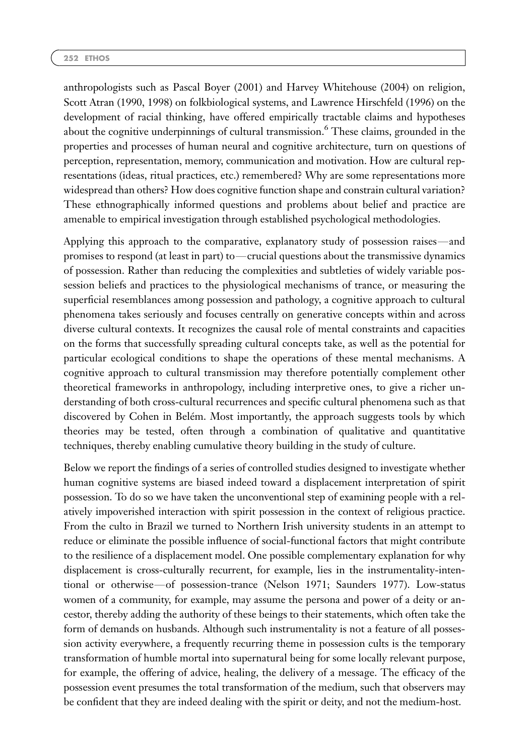anthropologists such as Pascal Boyer (2001) and Harvey Whitehouse (2004) on religion, Scott Atran (1990, 1998) on folkbiological systems, and Lawrence Hirschfeld (1996) on the development of racial thinking, have offered empirically tractable claims and hypotheses about the cognitive underpinnings of cultural transmission.<sup>6</sup> These claims, grounded in the properties and processes of human neural and cognitive architecture, turn on questions of perception, representation, memory, communication and motivation. How are cultural representations (ideas, ritual practices, etc.) remembered? Why are some representations more widespread than others? How does cognitive function shape and constrain cultural variation? These ethnographically informed questions and problems about belief and practice are amenable to empirical investigation through established psychological methodologies.

Applying this approach to the comparative, explanatory study of possession raises—and promises to respond (at least in part) to—crucial questions about the transmissive dynamics of possession. Rather than reducing the complexities and subtleties of widely variable possession beliefs and practices to the physiological mechanisms of trance, or measuring the superficial resemblances among possession and pathology, a cognitive approach to cultural phenomena takes seriously and focuses centrally on generative concepts within and across diverse cultural contexts. It recognizes the causal role of mental constraints and capacities on the forms that successfully spreading cultural concepts take, as well as the potential for particular ecological conditions to shape the operations of these mental mechanisms. A cognitive approach to cultural transmission may therefore potentially complement other theoretical frameworks in anthropology, including interpretive ones, to give a richer understanding of both cross-cultural recurrences and specific cultural phenomena such as that discovered by Cohen in Belém. Most importantly, the approach suggests tools by which theories may be tested, often through a combination of qualitative and quantitative techniques, thereby enabling cumulative theory building in the study of culture.

Below we report the findings of a series of controlled studies designed to investigate whether human cognitive systems are biased indeed toward a displacement interpretation of spirit possession. To do so we have taken the unconventional step of examining people with a relatively impoverished interaction with spirit possession in the context of religious practice. From the culto in Brazil we turned to Northern Irish university students in an attempt to reduce or eliminate the possible influence of social-functional factors that might contribute to the resilience of a displacement model. One possible complementary explanation for why displacement is cross-culturally recurrent, for example, lies in the instrumentality-intentional or otherwise—of possession-trance (Nelson 1971; Saunders 1977). Low-status women of a community, for example, may assume the persona and power of a deity or ancestor, thereby adding the authority of these beings to their statements, which often take the form of demands on husbands. Although such instrumentality is not a feature of all possession activity everywhere, a frequently recurring theme in possession cults is the temporary transformation of humble mortal into supernatural being for some locally relevant purpose, for example, the offering of advice, healing, the delivery of a message. The efficacy of the possession event presumes the total transformation of the medium, such that observers may be confident that they are indeed dealing with the spirit or deity, and not the medium-host.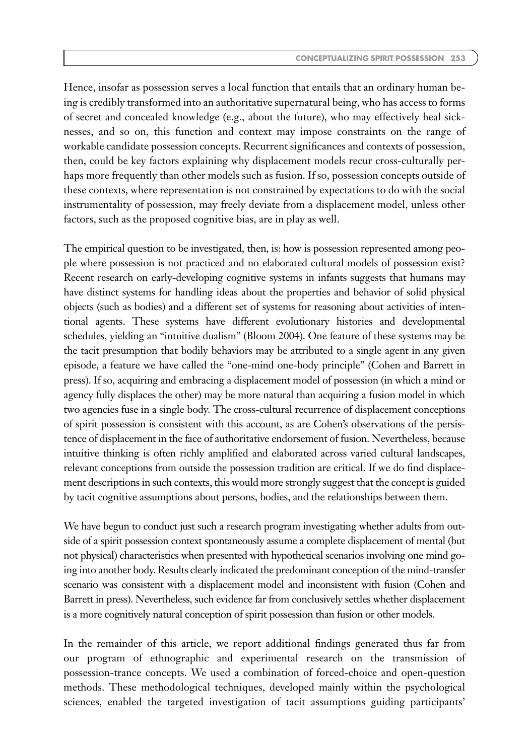Hence, insofar as possession serves a local function that entails that an ordinary human being is credibly transformed into an authoritative supernatural being, who has access to forms of secret and concealed knowledge (e.g., about the future), who may effectively heal sicknesses, and so on, this function and context may impose constraints on the range of workable candidate possession concepts. Recurrent significances and contexts of possession, then, could be key factors explaining why displacement models recur cross-culturally perhaps more frequently than other models such as fusion. If so, possession concepts outside of these contexts, where representation is not constrained by expectations to do with the social instrumentality of possession, may freely deviate from a displacement model, unless other factors, such as the proposed cognitive bias, are in play as well.

The empirical question to be investigated, then, is: how is possession represented among people where possession is not practiced and no elaborated cultural models of possession exist? Recent research on early-developing cognitive systems in infants suggests that humans may have distinct systems for handling ideas about the properties and behavior of solid physical objects (such as bodies) and a different set of systems for reasoning about activities of intentional agents. These systems have different evolutionary histories and developmental schedules, yielding an ''intuitive dualism'' (Bloom 2004). One feature of these systems may be the tacit presumption that bodily behaviors may be attributed to a single agent in any given episode, a feature we have called the ''one-mind one-body principle'' (Cohen and Barrett in press). If so, acquiring and embracing a displacement model of possession (in which a mind or agency fully displaces the other) may be more natural than acquiring a fusion model in which two agencies fuse in a single body. The cross-cultural recurrence of displacement conceptions of spirit possession is consistent with this account, as are Cohen's observations of the persistence of displacement in the face of authoritative endorsement of fusion. Nevertheless, because intuitive thinking is often richly amplified and elaborated across varied cultural landscapes, relevant conceptions from outside the possession tradition are critical. If we do find displacement descriptions in such contexts, this would more strongly suggest that the concept is guided by tacit cognitive assumptions about persons, bodies, and the relationships between them.

We have begun to conduct just such a research program investigating whether adults from outside of a spirit possession context spontaneously assume a complete displacement of mental (but not physical) characteristics when presented with hypothetical scenarios involving one mind going into another body. Results clearly indicated the predominant conception of the mind-transfer scenario was consistent with a displacement model and inconsistent with fusion (Cohen and Barrett in press). Nevertheless, such evidence far from conclusively settles whether displacement is a more cognitively natural conception of spirit possession than fusion or other models.

In the remainder of this article, we report additional findings generated thus far from our program of ethnographic and experimental research on the transmission of possession-trance concepts. We used a combination of forced-choice and open-question methods. These methodological techniques, developed mainly within the psychological sciences, enabled the targeted investigation of tacit assumptions guiding participants'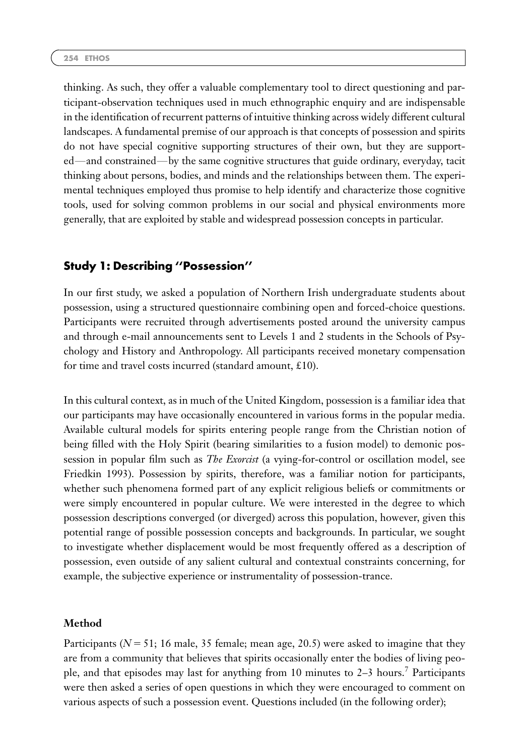thinking. As such, they offer a valuable complementary tool to direct questioning and participant-observation techniques used in much ethnographic enquiry and are indispensable in the identification of recurrent patterns of intuitive thinking across widely different cultural landscapes. A fundamental premise of our approach is that concepts of possession and spirits do not have special cognitive supporting structures of their own, but they are supported—and constrained—by the same cognitive structures that guide ordinary, everyday, tacit thinking about persons, bodies, and minds and the relationships between them. The experimental techniques employed thus promise to help identify and characterize those cognitive tools, used for solving common problems in our social and physical environments more generally, that are exploited by stable and widespread possession concepts in particular.

## Study 1: Describing ''Possession''

In our first study, we asked a population of Northern Irish undergraduate students about possession, using a structured questionnaire combining open and forced-choice questions. Participants were recruited through advertisements posted around the university campus and through e-mail announcements sent to Levels 1 and 2 students in the Schools of Psychology and History and Anthropology. All participants received monetary compensation for time and travel costs incurred (standard amount, *d*10).

In this cultural context, as in much of the United Kingdom, possession is a familiar idea that our participants may have occasionally encountered in various forms in the popular media. Available cultural models for spirits entering people range from the Christian notion of being filled with the Holy Spirit (bearing similarities to a fusion model) to demonic possession in popular film such as *The Exorcist* (a vying-for-control or oscillation model, see Friedkin 1993). Possession by spirits, therefore, was a familiar notion for participants, whether such phenomena formed part of any explicit religious beliefs or commitments or were simply encountered in popular culture. We were interested in the degree to which possession descriptions converged (or diverged) across this population, however, given this potential range of possible possession concepts and backgrounds. In particular, we sought to investigate whether displacement would be most frequently offered as a description of possession, even outside of any salient cultural and contextual constraints concerning, for example, the subjective experience or instrumentality of possession-trance.

#### Method

Participants ( $N = 51$ ; 16 male, 35 female; mean age, 20.5) were asked to imagine that they are from a community that believes that spirits occasionally enter the bodies of living people, and that episodes may last for anything from 10 minutes to 2–3 hours.<sup>7</sup> Participants were then asked a series of open questions in which they were encouraged to comment on various aspects of such a possession event. Questions included (in the following order);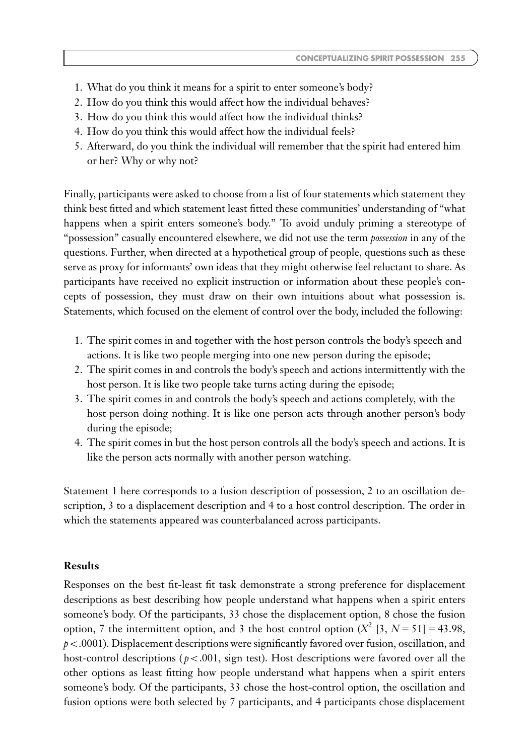- 1. What do you think it means for a spirit to enter someone's body?
- 2. How do you think this would affect how the individual behaves?
- 3. How do you think this would affect how the individual thinks?
- 4. How do you think this would affect how the individual feels?
- 5. Afterward, do you think the individual will remember that the spirit had entered him or her? Why or why not?

Finally, participants were asked to choose from a list of four statements which statement they think best fitted and which statement least fitted these communities' understanding of ''what happens when a spirit enters someone's body.'' To avoid unduly priming a stereotype of "possession" casually encountered elsewhere, we did not use the term *possession* in any of the questions. Further, when directed at a hypothetical group of people, questions such as these serve as proxy for informants' own ideas that they might otherwise feel reluctant to share. As participants have received no explicit instruction or information about these people's concepts of possession, they must draw on their own intuitions about what possession is. Statements, which focused on the element of control over the body, included the following:

- 1. The spirit comes in and together with the host person controls the body's speech and actions. It is like two people merging into one new person during the episode;
- 2. The spirit comes in and controls the body's speech and actions intermittently with the host person. It is like two people take turns acting during the episode;
- 3. The spirit comes in and controls the body's speech and actions completely, with the host person doing nothing. It is like one person acts through another person's body during the episode;
- 4. The spirit comes in but the host person controls all the body's speech and actions. It is like the person acts normally with another person watching.

Statement 1 here corresponds to a fusion description of possession, 2 to an oscillation description, 3 to a displacement description and 4 to a host control description. The order in which the statements appeared was counterbalanced across participants.

#### Results

Responses on the best fit-least fit task demonstrate a strong preference for displacement descriptions as best describing how people understand what happens when a spirit enters someone's body. Of the participants, 33 chose the displacement option, 8 chose the fusion option, 7 the intermittent option, and 3 the host control option  $(X^2 \mid 3, N = 51] = 43.98$ ,  $p<.0001$ ). Displacement descriptions were significantly favored over fusion, oscillation, and host-control descriptions ( $p < .001$ , sign test). Host descriptions were favored over all the other options as least fitting how people understand what happens when a spirit enters someone's body. Of the participants, 33 chose the host-control option, the oscillation and fusion options were both selected by 7 participants, and 4 participants chose displacement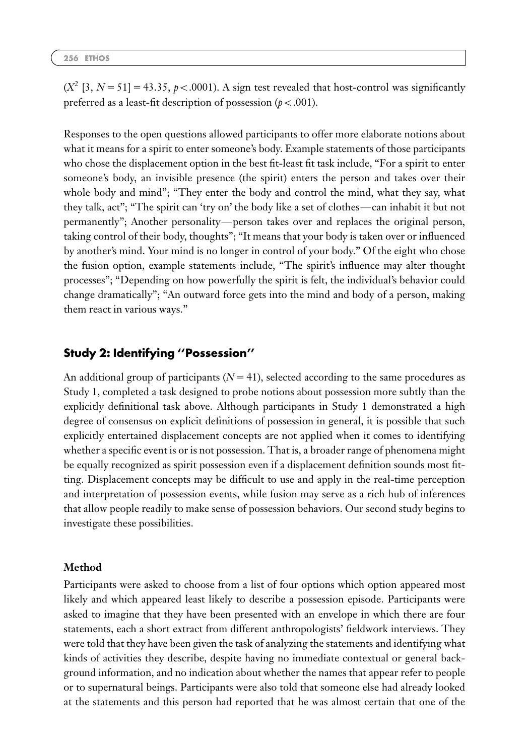$(X^2 \mid 3, N = 51] = 43.35, p < .0001$ ). A sign test revealed that host-control was significantly preferred as a least-fit description of possession ( $p < .001$ ).

Responses to the open questions allowed participants to offer more elaborate notions about what it means for a spirit to enter someone's body. Example statements of those participants who chose the displacement option in the best fit-least fit task include, ''For a spirit to enter someone's body, an invisible presence (the spirit) enters the person and takes over their whole body and mind"; "They enter the body and control the mind, what they say, what they talk, act"; "The spirit can 'try on' the body like a set of clothes—can inhabit it but not permanently"; Another personality—person takes over and replaces the original person, taking control of their body, thoughts''; ''It means that your body is taken over or influenced by another's mind. Your mind is no longer in control of your body.'' Of the eight who chose the fusion option, example statements include, ''The spirit's influence may alter thought processes''; ''Depending on how powerfully the spirit is felt, the individual's behavior could change dramatically''; ''An outward force gets into the mind and body of a person, making them react in various ways.''

## Study 2: Identifying ''Possession''

An additional group of participants ( $N = 41$ ), selected according to the same procedures as Study 1, completed a task designed to probe notions about possession more subtly than the explicitly definitional task above. Although participants in Study 1 demonstrated a high degree of consensus on explicit definitions of possession in general, it is possible that such explicitly entertained displacement concepts are not applied when it comes to identifying whether a specific event is or is not possession. That is, a broader range of phenomena might be equally recognized as spirit possession even if a displacement definition sounds most fitting. Displacement concepts may be difficult to use and apply in the real-time perception and interpretation of possession events, while fusion may serve as a rich hub of inferences that allow people readily to make sense of possession behaviors. Our second study begins to investigate these possibilities.

### Method

Participants were asked to choose from a list of four options which option appeared most likely and which appeared least likely to describe a possession episode. Participants were asked to imagine that they have been presented with an envelope in which there are four statements, each a short extract from different anthropologists' fieldwork interviews. They were told that they have been given the task of analyzing the statements and identifying what kinds of activities they describe, despite having no immediate contextual or general background information, and no indication about whether the names that appear refer to people or to supernatural beings. Participants were also told that someone else had already looked at the statements and this person had reported that he was almost certain that one of the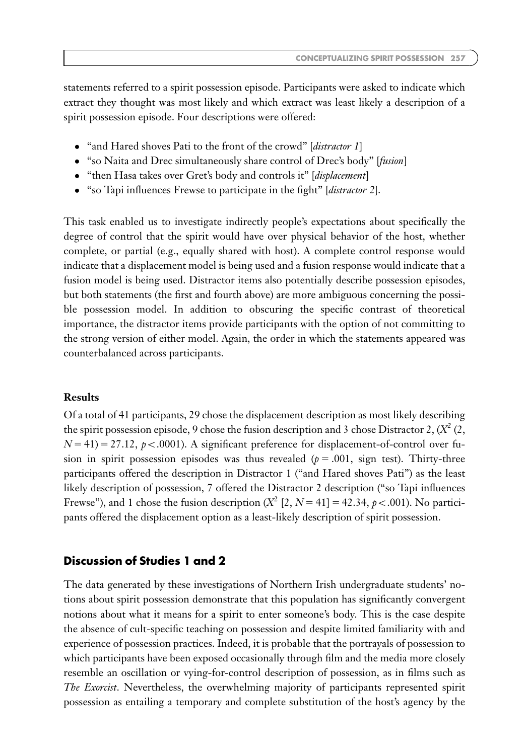statements referred to a spirit possession episode. Participants were asked to indicate which extract they thought was most likely and which extract was least likely a description of a spirit possession episode. Four descriptions were offered:

- "and Hared shoves Pati to the front of the crowd" [distractor 1]
- ''so Naita and Drec simultaneously share control of Drec's body'' [fusion]
- ''then Hasa takes over Gret's body and controls it'' [displacement]
- "so Tapi influences Frewse to participate in the fight" [distractor 2].

This task enabled us to investigate indirectly people's expectations about specifically the degree of control that the spirit would have over physical behavior of the host, whether complete, or partial (e.g., equally shared with host). A complete control response would indicate that a displacement model is being used and a fusion response would indicate that a fusion model is being used. Distractor items also potentially describe possession episodes, but both statements (the first and fourth above) are more ambiguous concerning the possible possession model. In addition to obscuring the specific contrast of theoretical importance, the distractor items provide participants with the option of not committing to the strong version of either model. Again, the order in which the statements appeared was counterbalanced across participants.

### Results

Of a total of 41 participants, 29 chose the displacement description as most likely describing the spirit possession episode, 9 chose the fusion description and 3 chose Distractor 2,  $(X^2 \ (2,$  $N = 41$ ) = 27.12, p < 0.001). A significant preference for displacement-of-control over fusion in spirit possession episodes was thus revealed  $(p = .001,$  sign test). Thirty-three participants offered the description in Distractor 1 (''and Hared shoves Pati'') as the least likely description of possession, 7 offered the Distractor 2 description (''so Tapi influences Frewse"), and 1 chose the fusion description  $(X^2 \left[2, N = 41\right] = 42.34, p < .001)$ . No participants offered the displacement option as a least-likely description of spirit possession.

### Discussion of Studies 1 and 2

The data generated by these investigations of Northern Irish undergraduate students' notions about spirit possession demonstrate that this population has significantly convergent notions about what it means for a spirit to enter someone's body. This is the case despite the absence of cult-specific teaching on possession and despite limited familiarity with and experience of possession practices. Indeed, it is probable that the portrayals of possession to which participants have been exposed occasionally through film and the media more closely resemble an oscillation or vying-for-control description of possession, as in films such as The Exorcist. Nevertheless, the overwhelming majority of participants represented spirit possession as entailing a temporary and complete substitution of the host's agency by the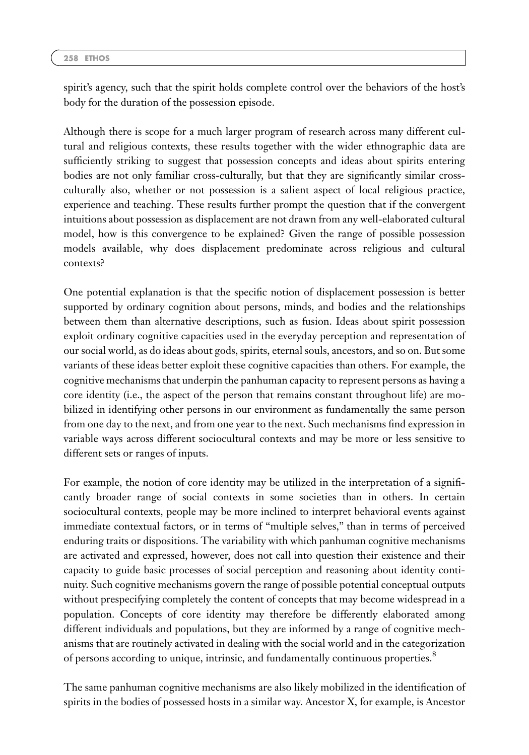spirit's agency, such that the spirit holds complete control over the behaviors of the host's body for the duration of the possession episode.

Although there is scope for a much larger program of research across many different cultural and religious contexts, these results together with the wider ethnographic data are sufficiently striking to suggest that possession concepts and ideas about spirits entering bodies are not only familiar cross-culturally, but that they are significantly similar crossculturally also, whether or not possession is a salient aspect of local religious practice, experience and teaching. These results further prompt the question that if the convergent intuitions about possession as displacement are not drawn from any well-elaborated cultural model, how is this convergence to be explained? Given the range of possible possession models available, why does displacement predominate across religious and cultural contexts?

One potential explanation is that the specific notion of displacement possession is better supported by ordinary cognition about persons, minds, and bodies and the relationships between them than alternative descriptions, such as fusion. Ideas about spirit possession exploit ordinary cognitive capacities used in the everyday perception and representation of our social world, as do ideas about gods, spirits, eternal souls, ancestors, and so on. But some variants of these ideas better exploit these cognitive capacities than others. For example, the cognitive mechanisms that underpin the panhuman capacity to represent persons as having a core identity (i.e., the aspect of the person that remains constant throughout life) are mobilized in identifying other persons in our environment as fundamentally the same person from one day to the next, and from one year to the next. Such mechanisms find expression in variable ways across different sociocultural contexts and may be more or less sensitive to different sets or ranges of inputs.

For example, the notion of core identity may be utilized in the interpretation of a significantly broader range of social contexts in some societies than in others. In certain sociocultural contexts, people may be more inclined to interpret behavioral events against immediate contextual factors, or in terms of ''multiple selves,'' than in terms of perceived enduring traits or dispositions. The variability with which panhuman cognitive mechanisms are activated and expressed, however, does not call into question their existence and their capacity to guide basic processes of social perception and reasoning about identity continuity. Such cognitive mechanisms govern the range of possible potential conceptual outputs without prespecifying completely the content of concepts that may become widespread in a population. Concepts of core identity may therefore be differently elaborated among different individuals and populations, but they are informed by a range of cognitive mechanisms that are routinely activated in dealing with the social world and in the categorization of persons according to unique, intrinsic, and fundamentally continuous properties.<sup>8</sup>

The same panhuman cognitive mechanisms are also likely mobilized in the identification of spirits in the bodies of possessed hosts in a similar way. Ancestor X, for example, is Ancestor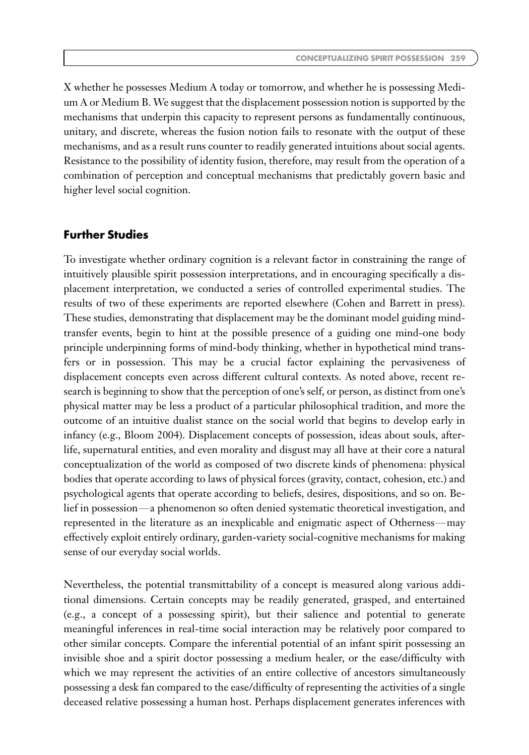X whether he possesses Medium A today or tomorrow, and whether he is possessing Medium A or Medium B. We suggest that the displacement possession notion is supported by the mechanisms that underpin this capacity to represent persons as fundamentally continuous, unitary, and discrete, whereas the fusion notion fails to resonate with the output of these mechanisms, and as a result runs counter to readily generated intuitions about social agents. Resistance to the possibility of identity fusion, therefore, may result from the operation of a combination of perception and conceptual mechanisms that predictably govern basic and higher level social cognition.

# Further Studies

To investigate whether ordinary cognition is a relevant factor in constraining the range of intuitively plausible spirit possession interpretations, and in encouraging specifically a displacement interpretation, we conducted a series of controlled experimental studies. The results of two of these experiments are reported elsewhere (Cohen and Barrett in press). These studies, demonstrating that displacement may be the dominant model guiding mindtransfer events, begin to hint at the possible presence of a guiding one mind-one body principle underpinning forms of mind-body thinking, whether in hypothetical mind transfers or in possession. This may be a crucial factor explaining the pervasiveness of displacement concepts even across different cultural contexts. As noted above, recent research is beginning to show that the perception of one's self, or person, as distinct from one's physical matter may be less a product of a particular philosophical tradition, and more the outcome of an intuitive dualist stance on the social world that begins to develop early in infancy (e.g., Bloom 2004). Displacement concepts of possession, ideas about souls, afterlife, supernatural entities, and even morality and disgust may all have at their core a natural conceptualization of the world as composed of two discrete kinds of phenomena: physical bodies that operate according to laws of physical forces (gravity, contact, cohesion, etc.) and psychological agents that operate according to beliefs, desires, dispositions, and so on. Belief in possession—a phenomenon so often denied systematic theoretical investigation, and represented in the literature as an inexplicable and enigmatic aspect of Otherness—may effectively exploit entirely ordinary, garden-variety social-cognitive mechanisms for making sense of our everyday social worlds.

Nevertheless, the potential transmittability of a concept is measured along various additional dimensions. Certain concepts may be readily generated, grasped, and entertained (e.g., a concept of a possessing spirit), but their salience and potential to generate meaningful inferences in real-time social interaction may be relatively poor compared to other similar concepts. Compare the inferential potential of an infant spirit possessing an invisible shoe and a spirit doctor possessing a medium healer, or the ease/difficulty with which we may represent the activities of an entire collective of ancestors simultaneously possessing a desk fan compared to the ease/difficulty of representing the activities of a single deceased relative possessing a human host. Perhaps displacement generates inferences with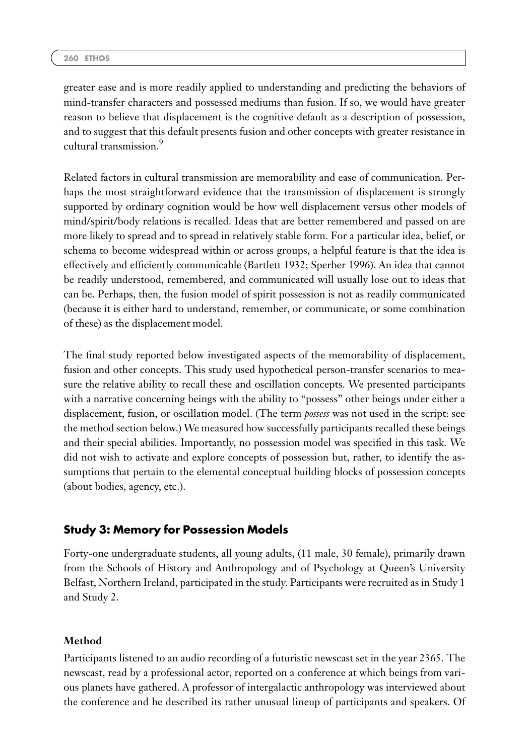greater ease and is more readily applied to understanding and predicting the behaviors of mind-transfer characters and possessed mediums than fusion. If so, we would have greater reason to believe that displacement is the cognitive default as a description of possession, and to suggest that this default presents fusion and other concepts with greater resistance in cultural transmission.<sup>9</sup>

Related factors in cultural transmission are memorability and ease of communication. Perhaps the most straightforward evidence that the transmission of displacement is strongly supported by ordinary cognition would be how well displacement versus other models of mind/spirit/body relations is recalled. Ideas that are better remembered and passed on are more likely to spread and to spread in relatively stable form. For a particular idea, belief, or schema to become widespread within or across groups, a helpful feature is that the idea is effectively and efficiently communicable (Bartlett 1932; Sperber 1996). An idea that cannot be readily understood, remembered, and communicated will usually lose out to ideas that can be. Perhaps, then, the fusion model of spirit possession is not as readily communicated (because it is either hard to understand, remember, or communicate, or some combination of these) as the displacement model.

The final study reported below investigated aspects of the memorability of displacement, fusion and other concepts. This study used hypothetical person-transfer scenarios to measure the relative ability to recall these and oscillation concepts. We presented participants with a narrative concerning beings with the ability to ''possess'' other beings under either a displacement, fusion, or oscillation model. (The term *possess* was not used in the script: see the method section below.) We measured how successfully participants recalled these beings and their special abilities. Importantly, no possession model was specified in this task. We did not wish to activate and explore concepts of possession but, rather, to identify the assumptions that pertain to the elemental conceptual building blocks of possession concepts (about bodies, agency, etc.).

# Study 3: Memory for Possession Models

Forty-one undergraduate students, all young adults, (11 male, 30 female), primarily drawn from the Schools of History and Anthropology and of Psychology at Queen's University Belfast, Northern Ireland, participated in the study. Participants were recruited as in Study 1 and Study 2.

## Method

Participants listened to an audio recording of a futuristic newscast set in the year 2365. The newscast, read by a professional actor, reported on a conference at which beings from various planets have gathered. A professor of intergalactic anthropology was interviewed about the conference and he described its rather unusual lineup of participants and speakers. Of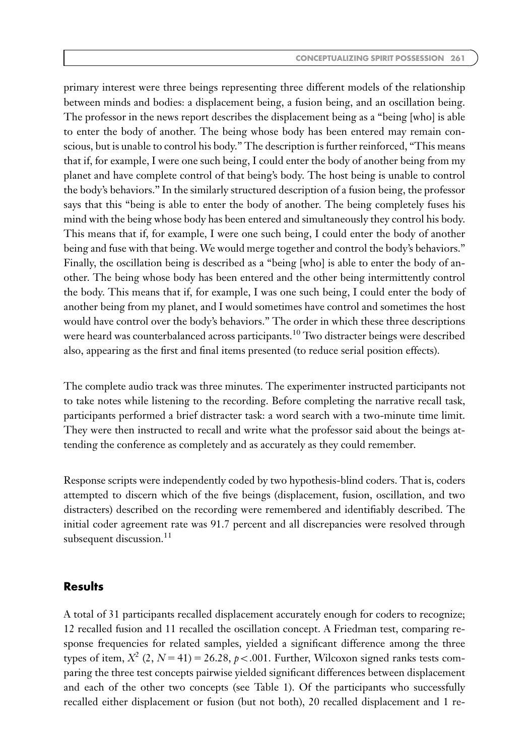primary interest were three beings representing three different models of the relationship between minds and bodies: a displacement being, a fusion being, and an oscillation being. The professor in the news report describes the displacement being as a ''being [who] is able to enter the body of another. The being whose body has been entered may remain conscious, but is unable to control his body.'' The description is further reinforced, ''This means that if, for example, I were one such being, I could enter the body of another being from my planet and have complete control of that being's body. The host being is unable to control the body's behaviors.'' In the similarly structured description of a fusion being, the professor says that this "being is able to enter the body of another. The being completely fuses his mind with the being whose body has been entered and simultaneously they control his body. This means that if, for example, I were one such being, I could enter the body of another being and fuse with that being. We would merge together and control the body's behaviors.'' Finally, the oscillation being is described as a ''being [who] is able to enter the body of another. The being whose body has been entered and the other being intermittently control the body. This means that if, for example, I was one such being, I could enter the body of another being from my planet, and I would sometimes have control and sometimes the host would have control over the body's behaviors.'' The order in which these three descriptions were heard was counterbalanced across participants.<sup>10</sup> Two distracter beings were described also, appearing as the first and final items presented (to reduce serial position effects).

The complete audio track was three minutes. The experimenter instructed participants not to take notes while listening to the recording. Before completing the narrative recall task, participants performed a brief distracter task: a word search with a two-minute time limit. They were then instructed to recall and write what the professor said about the beings attending the conference as completely and as accurately as they could remember.

Response scripts were independently coded by two hypothesis-blind coders. That is, coders attempted to discern which of the five beings (displacement, fusion, oscillation, and two distracters) described on the recording were remembered and identifiably described. The initial coder agreement rate was 91.7 percent and all discrepancies were resolved through subsequent discussion.<sup>11</sup>

## **Results**

A total of 31 participants recalled displacement accurately enough for coders to recognize; 12 recalled fusion and 11 recalled the oscillation concept. A Friedman test, comparing response frequencies for related samples, yielded a significant difference among the three types of item,  $X^2$  (2, N = 41) = 26.28, p < 0.001. Further, Wilcoxon signed ranks tests comparing the three test concepts pairwise yielded significant differences between displacement and each of the other two concepts (see Table 1). Of the participants who successfully recalled either displacement or fusion (but not both), 20 recalled displacement and 1 re-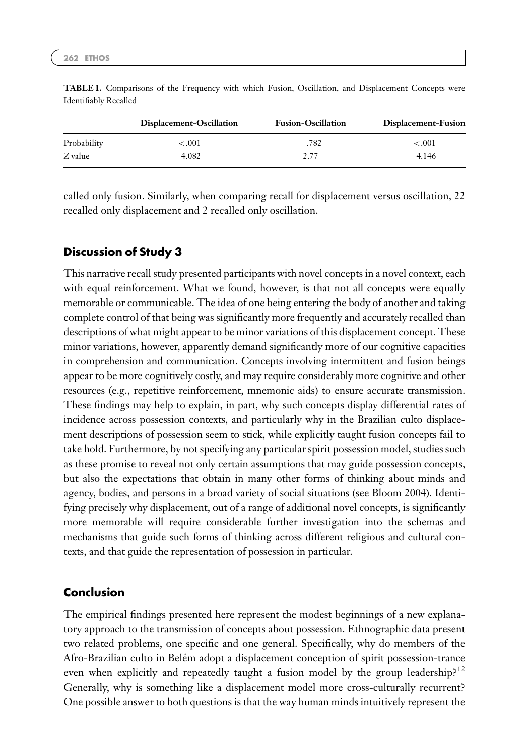|             | Displacement-Oscillation | <b>Fusion-Oscillation</b> | Displacement-Fusion |
|-------------|--------------------------|---------------------------|---------------------|
| Probability | $-.001$                  | .782                      | $-.001$             |
| Z value     | 4.082                    | 2.77                      | 4.146               |
|             |                          |                           |                     |

TABLE 1. Comparisons of the Frequency with which Fusion, Oscillation, and Displacement Concepts were Identifiably Recalled

called only fusion. Similarly, when comparing recall for displacement versus oscillation, 22 recalled only displacement and 2 recalled only oscillation.

# Discussion of Study 3

This narrative recall study presented participants with novel concepts in a novel context, each with equal reinforcement. What we found, however, is that not all concepts were equally memorable or communicable. The idea of one being entering the body of another and taking complete control of that being was significantly more frequently and accurately recalled than descriptions of what might appear to be minor variations of this displacement concept. These minor variations, however, apparently demand significantly more of our cognitive capacities in comprehension and communication. Concepts involving intermittent and fusion beings appear to be more cognitively costly, and may require considerably more cognitive and other resources (e.g., repetitive reinforcement, mnemonic aids) to ensure accurate transmission. These findings may help to explain, in part, why such concepts display differential rates of incidence across possession contexts, and particularly why in the Brazilian culto displacement descriptions of possession seem to stick, while explicitly taught fusion concepts fail to take hold. Furthermore, by not specifying any particular spirit possession model, studies such as these promise to reveal not only certain assumptions that may guide possession concepts, but also the expectations that obtain in many other forms of thinking about minds and agency, bodies, and persons in a broad variety of social situations (see Bloom 2004). Identifying precisely why displacement, out of a range of additional novel concepts, is significantly more memorable will require considerable further investigation into the schemas and mechanisms that guide such forms of thinking across different religious and cultural contexts, and that guide the representation of possession in particular.

# Conclusion

The empirical findings presented here represent the modest beginnings of a new explanatory approach to the transmission of concepts about possession. Ethnographic data present two related problems, one specific and one general. Specifically, why do members of the Afro-Brazilian culto in Belém adopt a displacement conception of spirit possession-trance even when explicitly and repeatedly taught a fusion model by the group leadership?<sup>12</sup> Generally, why is something like a displacement model more cross-culturally recurrent? One possible answer to both questions is that the way human minds intuitively represent the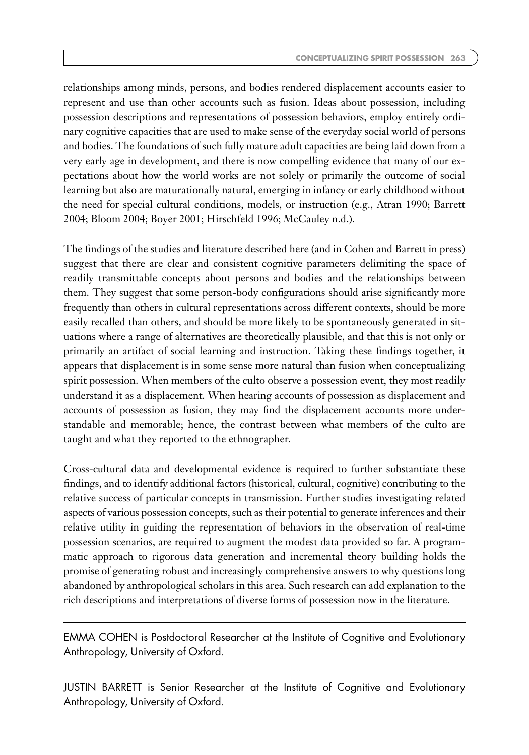relationships among minds, persons, and bodies rendered displacement accounts easier to represent and use than other accounts such as fusion. Ideas about possession, including possession descriptions and representations of possession behaviors, employ entirely ordinary cognitive capacities that are used to make sense of the everyday social world of persons and bodies. The foundations of such fully mature adult capacities are being laid down from a very early age in development, and there is now compelling evidence that many of our expectations about how the world works are not solely or primarily the outcome of social learning but also are maturationally natural, emerging in infancy or early childhood without the need for special cultural conditions, models, or instruction (e.g., Atran 1990; Barrett 2004; Bloom 2004; Boyer 2001; Hirschfeld 1996; McCauley n.d.).

The findings of the studies and literature described here (and in Cohen and Barrett in press) suggest that there are clear and consistent cognitive parameters delimiting the space of readily transmittable concepts about persons and bodies and the relationships between them. They suggest that some person-body configurations should arise significantly more frequently than others in cultural representations across different contexts, should be more easily recalled than others, and should be more likely to be spontaneously generated in situations where a range of alternatives are theoretically plausible, and that this is not only or primarily an artifact of social learning and instruction. Taking these findings together, it appears that displacement is in some sense more natural than fusion when conceptualizing spirit possession. When members of the culto observe a possession event, they most readily understand it as a displacement. When hearing accounts of possession as displacement and accounts of possession as fusion, they may find the displacement accounts more understandable and memorable; hence, the contrast between what members of the culto are taught and what they reported to the ethnographer.

Cross-cultural data and developmental evidence is required to further substantiate these findings, and to identify additional factors (historical, cultural, cognitive) contributing to the relative success of particular concepts in transmission. Further studies investigating related aspects of various possession concepts, such as their potential to generate inferences and their relative utility in guiding the representation of behaviors in the observation of real-time possession scenarios, are required to augment the modest data provided so far. A programmatic approach to rigorous data generation and incremental theory building holds the promise of generating robust and increasingly comprehensive answers to why questions long abandoned by anthropological scholars in this area. Such research can add explanation to the rich descriptions and interpretations of diverse forms of possession now in the literature.

EMMA COHEN is Postdoctoral Researcher at the Institute of Cognitive and Evolutionary Anthropology, University of Oxford.

JUSTIN BARRETT is Senior Researcher at the Institute of Cognitive and Evolutionary Anthropology, University of Oxford.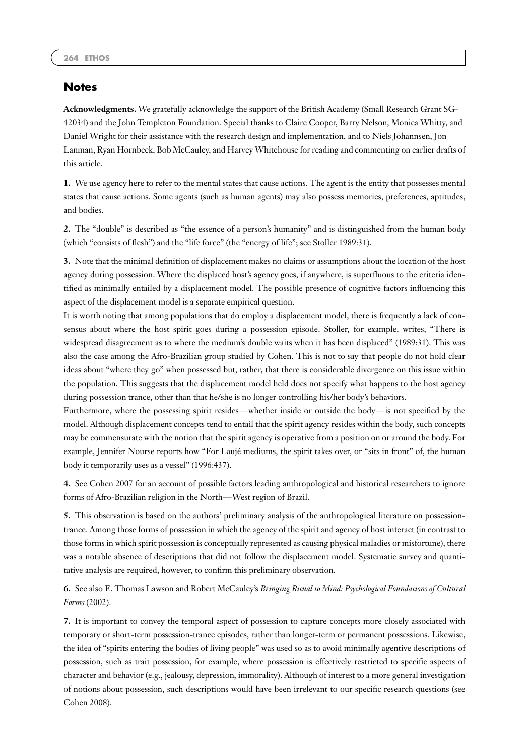### **Notes**

Acknowledgments. We gratefully acknowledge the support of the British Academy (Small Research Grant SG-42034) and the John Templeton Foundation. Special thanks to Claire Cooper, Barry Nelson, Monica Whitty, and Daniel Wright for their assistance with the research design and implementation, and to Niels Johannsen, Jon Lanman, Ryan Hornbeck, Bob McCauley, and Harvey Whitehouse for reading and commenting on earlier drafts of this article.

1. We use agency here to refer to the mental states that cause actions. The agent is the entity that possesses mental states that cause actions. Some agents (such as human agents) may also possess memories, preferences, aptitudes, and bodies.

2. The "double" is described as "the essence of a person's humanity" and is distinguished from the human body (which "consists of flesh") and the "life force" (the "energy of life"; see Stoller 1989:31).

3. Note that the minimal definition of displacement makes no claims or assumptions about the location of the host agency during possession. Where the displaced host's agency goes, if anywhere, is superfluous to the criteria identified as minimally entailed by a displacement model. The possible presence of cognitive factors influencing this aspect of the displacement model is a separate empirical question.

It is worth noting that among populations that do employ a displacement model, there is frequently a lack of consensus about where the host spirit goes during a possession episode. Stoller, for example, writes, ''There is widespread disagreement as to where the medium's double waits when it has been displaced'' (1989:31). This was also the case among the Afro-Brazilian group studied by Cohen. This is not to say that people do not hold clear ideas about ''where they go'' when possessed but, rather, that there is considerable divergence on this issue within the population. This suggests that the displacement model held does not specify what happens to the host agency during possession trance, other than that he/she is no longer controlling his/her body's behaviors.

Furthermore, where the possessing spirit resides—whether inside or outside the body—is not specified by the model. Although displacement concepts tend to entail that the spirit agency resides within the body, such concepts may be commensurate with the notion that the spirit agency is operative from a position on or around the body. For example, Jennifer Nourse reports how "For Laujé mediums, the spirit takes over, or "sits in front" of, the human body it temporarily uses as a vessel'' (1996:437).

4. See Cohen 2007 for an account of possible factors leading anthropological and historical researchers to ignore forms of Afro-Brazilian religion in the North—West region of Brazil.

5. This observation is based on the authors' preliminary analysis of the anthropological literature on possessiontrance. Among those forms of possession in which the agency of the spirit and agency of host interact (in contrast to those forms in which spirit possession is conceptually represented as causing physical maladies or misfortune), there was a notable absence of descriptions that did not follow the displacement model. Systematic survey and quantitative analysis are required, however, to confirm this preliminary observation.

6. See also E. Thomas Lawson and Robert McCauley's Bringing Ritual to Mind: Psychological Foundations of Cultural Forms (2002).

7. It is important to convey the temporal aspect of possession to capture concepts more closely associated with temporary or short-term possession-trance episodes, rather than longer-term or permanent possessions. Likewise, the idea of ''spirits entering the bodies of living people'' was used so as to avoid minimally agentive descriptions of possession, such as trait possession, for example, where possession is effectively restricted to specific aspects of character and behavior (e.g., jealousy, depression, immorality). Although of interest to a more general investigation of notions about possession, such descriptions would have been irrelevant to our specific research questions (see Cohen 2008).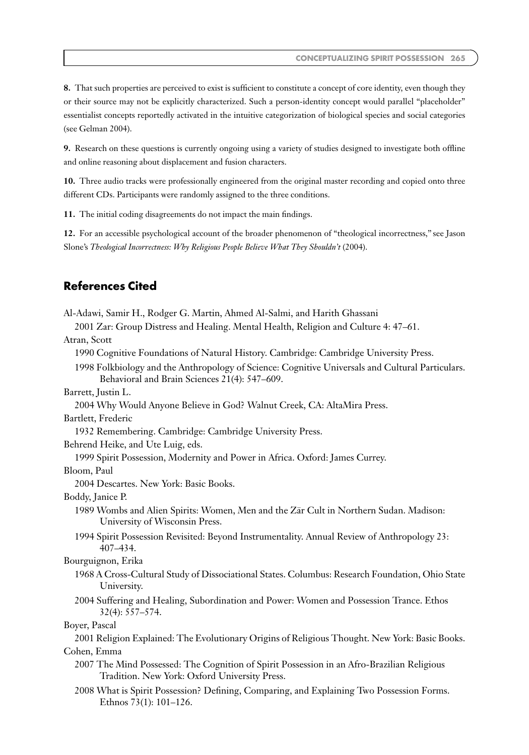8. That such properties are perceived to exist is sufficient to constitute a concept of core identity, even though they or their source may not be explicitly characterized. Such a person-identity concept would parallel ''placeholder'' essentialist concepts reportedly activated in the intuitive categorization of biological species and social categories (see Gelman 2004).

9. Research on these questions is currently ongoing using a variety of studies designed to investigate both offline and online reasoning about displacement and fusion characters.

10. Three audio tracks were professionally engineered from the original master recording and copied onto three different CDs. Participants were randomly assigned to the three conditions.

11. The initial coding disagreements do not impact the main findings.

12. For an accessible psychological account of the broader phenomenon of ''theological incorrectness,'' see Jason Slone's Theological Incorrectness: Why Religious People Believe What They Shouldn't (2004).

## References Cited

Al-Adawi, Samir H., Rodger G. Martin, Ahmed Al-Salmi, and Harith Ghassani 2001 Zar: Group Distress and Healing. Mental Health, Religion and Culture 4: 47–61. Atran, Scott 1990 Cognitive Foundations of Natural History. Cambridge: Cambridge University Press. 1998 Folkbiology and the Anthropology of Science: Cognitive Universals and Cultural Particulars. Behavioral and Brain Sciences 21(4): 547–609. Barrett, Justin L. 2004 Why Would Anyone Believe in God? Walnut Creek, CA: AltaMira Press. Bartlett, Frederic 1932 Remembering. Cambridge: Cambridge University Press. Behrend Heike, and Ute Luig, eds. 1999 Spirit Possession, Modernity and Power in Africa. Oxford: James Currey. Bloom, Paul 2004 Descartes. New York: Basic Books. Boddy, Janice P. 1989 Wombs and Alien Spirits: Women, Men and the Zar Cult in Northern Sudan. Madison: University of Wisconsin Press. 1994 Spirit Possession Revisited: Beyond Instrumentality. Annual Review of Anthropology 23: 407–434. Bourguignon, Erika 1968 A Cross-Cultural Study of Dissociational States. Columbus: Research Foundation, Ohio State University. 2004 Suffering and Healing, Subordination and Power: Women and Possession Trance. Ethos 32(4): 557–574. Boyer, Pascal 2001 Religion Explained: The Evolutionary Origins of Religious Thought. New York: Basic Books. Cohen, Emma 2007 The Mind Possessed: The Cognition of Spirit Possession in an Afro-Brazilian Religious Tradition. New York: Oxford University Press. 2008 What is Spirit Possession? Defining, Comparing, and Explaining Two Possession Forms. Ethnos 73(1): 101–126.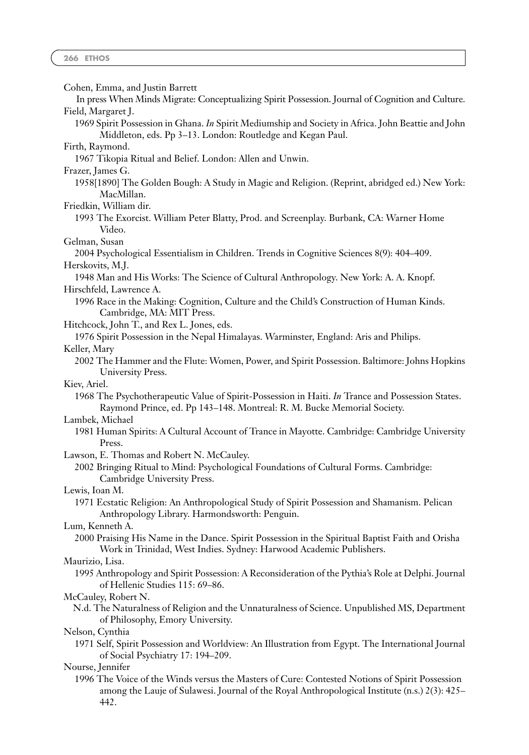Cohen, Emma, and Justin Barrett In press When Minds Migrate: Conceptualizing Spirit Possession. Journal of Cognition and Culture. Field, Margaret J. 1969 Spirit Possession in Ghana. In Spirit Mediumship and Society in Africa. John Beattie and John Middleton, eds. Pp 3–13. London: Routledge and Kegan Paul. Firth, Raymond. 1967 Tikopia Ritual and Belief. London: Allen and Unwin. Frazer, James G. 1958[1890] The Golden Bough: A Study in Magic and Religion. (Reprint, abridged ed.) New York: MacMillan. Friedkin, William dir. 1993 The Exorcist. William Peter Blatty, Prod. and Screenplay. Burbank, CA: Warner Home Video. Gelman, Susan 2004 Psychological Essentialism in Children. Trends in Cognitive Sciences 8(9): 404–409. Herskovits, M.J. 1948 Man and His Works: The Science of Cultural Anthropology. New York: A. A. Knopf. Hirschfeld, Lawrence A. 1996 Race in the Making: Cognition, Culture and the Child's Construction of Human Kinds. Cambridge, MA: MIT Press. Hitchcock, John T., and Rex L. Jones, eds. 1976 Spirit Possession in the Nepal Himalayas. Warminster, England: Aris and Philips. Keller, Mary 2002 The Hammer and the Flute: Women, Power, and Spirit Possession. Baltimore: Johns Hopkins University Press. Kiev, Ariel. 1968 The Psychotherapeutic Value of Spirit-Possession in Haiti. In Trance and Possession States. Raymond Prince, ed. Pp 143–148. Montreal: R. M. Bucke Memorial Society. Lambek, Michael 1981 Human Spirits: A Cultural Account of Trance in Mayotte. Cambridge: Cambridge University Press. Lawson, E. Thomas and Robert N. McCauley. 2002 Bringing Ritual to Mind: Psychological Foundations of Cultural Forms. Cambridge: Cambridge University Press. Lewis, Ioan M. 1971 Ecstatic Religion: An Anthropological Study of Spirit Possession and Shamanism. Pelican Anthropology Library. Harmondsworth: Penguin. Lum, Kenneth A. 2000 Praising His Name in the Dance. Spirit Possession in the Spiritual Baptist Faith and Orisha Work in Trinidad, West Indies. Sydney: Harwood Academic Publishers. Maurizio, Lisa. 1995 Anthropology and Spirit Possession: A Reconsideration of the Pythia's Role at Delphi. Journal of Hellenic Studies 115: 69–86. McCauley, Robert N. N.d. The Naturalness of Religion and the Unnaturalness of Science. Unpublished MS, Department of Philosophy, Emory University. Nelson, Cynthia 1971 Self, Spirit Possession and Worldview: An Illustration from Egypt. The International Journal of Social Psychiatry 17: 194–209. Nourse, Jennifer

1996 The Voice of the Winds versus the Masters of Cure: Contested Notions of Spirit Possession among the Lauje of Sulawesi. Journal of the Royal Anthropological Institute (n.s.) 2(3): 425– 442.